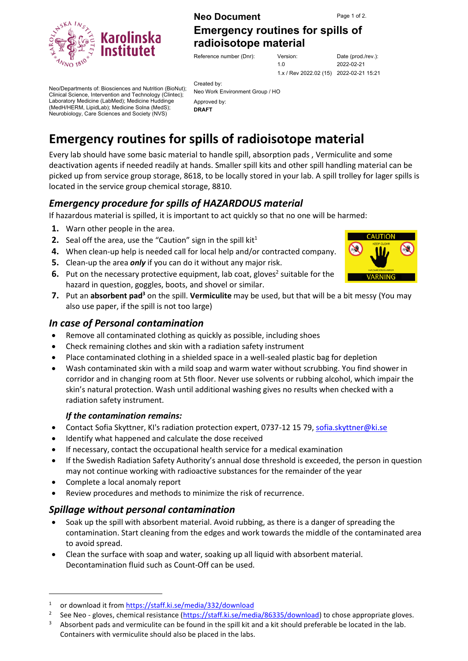**Neo Document** Page 1 of 2.

**[Emergency routines for spills of](#page-0-0)  [radioisotope material](#page-0-0)**

Reference number (Dnr): Ve

| Version:                                | Date (prod./rev.): |
|-----------------------------------------|--------------------|
| 1 N                                     | 2022-02-21         |
| 1.x / Rev 2022.02 (15) 2022-02-21 15:21 |                    |

Neo/Departments of: Biosciences and Nutrition (BioNut); Clinical Science, Intervention and Technology (Clintec); Laboratory Medicine (LabMed); Medicine Huddinge (MedH/HERM, LipidLab); Medicine Solna (MedS); Neurobiology, Care Sciences and Society (NVS)

Created by: Neo Work Environment Group / HO Approved by: **DRAFT**

# <span id="page-0-0"></span>**Emergency routines for spills of radioisotope material**

Every lab should have some basic material to handle spill, absorption pads , Vermiculite and some deactivation agents if needed readily at hands. Smaller spill kits and other spill handling material can be picked up from service group storage, 8618, to be locally stored in your lab. A spill trolley for lager spills is located in the service group chemical storage, 8810.

## *Emergency procedure for spills of HAZARDOUS material*

If hazardous material is spilled, it is important to act quickly so that no one will be harmed:

- **1.** Warn other people in the area.
- **2.** Seal off the area, use the "Caution" sign in the spill kit<sup>1</sup>
- **4.** When clean-up help is needed call for local help and/or contracted company.
- **5.** Clean-up the area *only* if you can do it without any major risk.
- **6.** Put on the necessary protective equipment, lab coat, gloves<sup>2</sup> suitable for the hazard in question, goggles, boots, and shovel or similar.
- **7.** Put an **absorbent pad<sup>3</sup>** on the spill. **Vermiculite** may be used, but that will be a bit messy (You may also use paper, if the spill is not too large)

## *In case of Personal contamination*

- Remove all contaminated clothing as quickly as possible, including shoes
- Check remaining clothes and skin with a radiation safety instrument
- Place contaminated clothing in a shielded space in a well-sealed plastic bag for depletion
- Wash contaminated skin with a mild soap and warm water without scrubbing. You find shower in corridor and in changing room at 5th floor. Never use solvents or rubbing alcohol, which impair the skin's natural protection. Wash until additional washing gives no results when checked with a radiation safety instrument.

#### *If the contamination remains:*

- Contact Sofia Skyttner, KI's radiation protection expert, 0737-12 15 79, [sofia.skyttner@ki.se](mailto:sofia.skyttner@ki.se)
- Identify what happened and calculate the dose received
- If necessary, contact the occupational health service for a medical examination
- If the Swedish Radiation Safety Authority's annual dose threshold is exceeded, the person in question may not continue working with radioactive substances for the remainder of the year
- Complete a local anomaly report
- Review procedures and methods to minimize the risk of recurrence.

#### *Spillage without personal contamination*

- Soak up the spill with absorbent material. Avoid rubbing, as there is a danger of spreading the contamination. Start cleaning from the edges and work towards the middle of the contaminated area to avoid spread.
- Clean the surface with soap and water, soaking up all liquid with absorbent material. Decontamination fluid such as Count-Off can be used.





<sup>1</sup> or download it from <https://staff.ki.se/media/332/download>

<sup>2</sup> See Neo - gloves, chemical resistance [\(https://staff.ki.se/media/86335/download\)](https://staff.ki.se/media/86335/download) to chose appropriate gloves.

Absorbent pads and vermiculite can be found in the spill kit and a kit should preferable be located in the lab. Containers with vermiculite should also be placed in the labs.